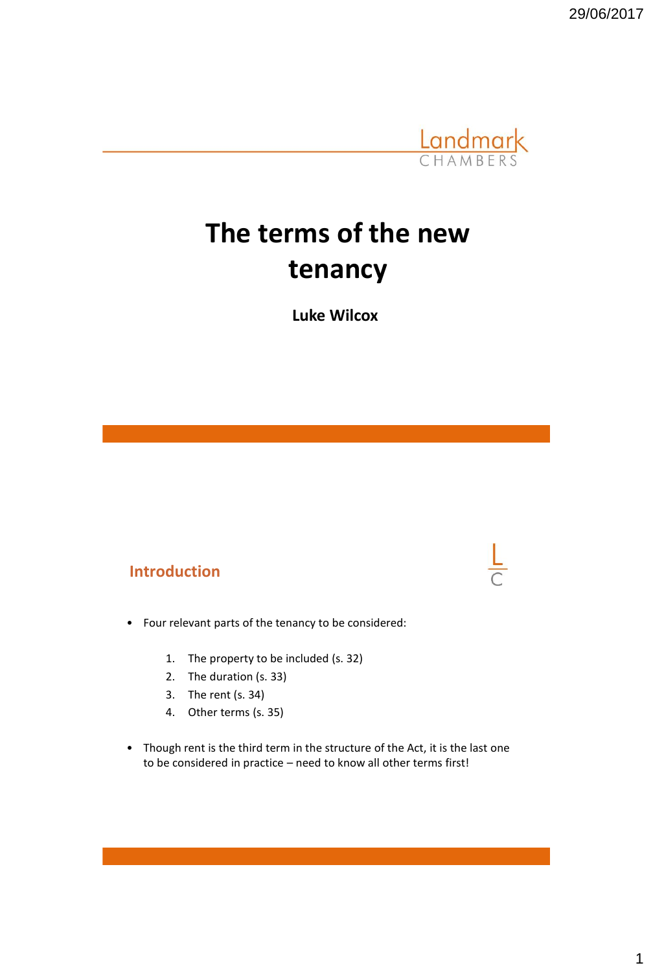29/06/2017



# **The terms of the new tenancy**

**Luke Wilcox**

#### **Introduction**

- Four relevant parts of the tenancy to be considered:
	- 1. The property to be included (s. 32)
	- 2. The duration (s. 33)
	- 3. The rent (s. 34)
	- 4. Other terms (s. 35)
- Though rent is the third term in the structure of the Act, it is the last one to be considered in practice – need to know all other terms first!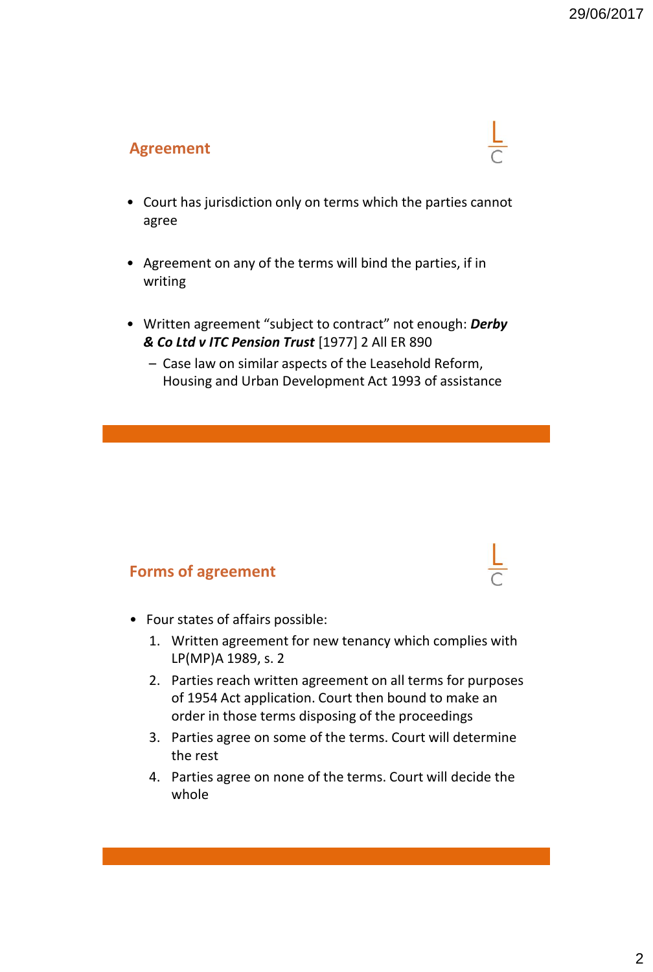#### **Agreement**

- Court has jurisdiction only on terms which the parties cannot agree
- Agreement on any of the terms will bind the parties, if in writing
- Written agreement "subject to contract" not enough: *Derby & Co Ltd v ITC Pension Trust* [1977] 2 All ER 890
	- Case law on similar aspects of the Leasehold Reform, Housing and Urban Development Act 1993 of assistance

#### **Forms of agreement**

- Four states of affairs possible:
	- 1. Written agreement for new tenancy which complies with LP(MP)A 1989, s. 2
	- 2. Parties reach written agreement on all terms for purposes of 1954 Act application. Court then bound to make an order in those terms disposing of the proceedings
	- 3. Parties agree on some of the terms. Court will determine the rest
	- 4. Parties agree on none of the terms. Court will decide the whole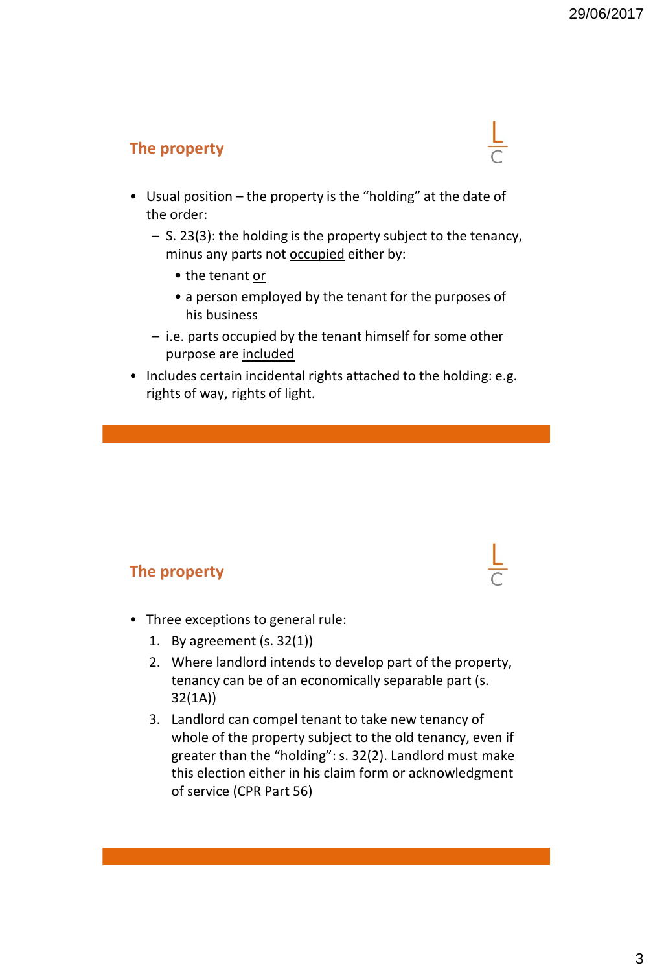# **The property**

- Usual position the property is the "holding" at the date of the order:
	- S. 23(3): the holding is the property subject to the tenancy, minus any parts not **occupied** either by:
		- the tenant or
		- a person employed by the tenant for the purposes of his business
	- i.e. parts occupied by the tenant himself for some other purpose are included
- Includes certain incidental rights attached to the holding: e.g. rights of way, rights of light.

# **The property**

- Three exceptions to general rule:
	- 1. By agreement (s. 32(1))
	- 2. Where landlord intends to develop part of the property, tenancy can be of an economically separable part (s. 32(1A))
	- 3. Landlord can compel tenant to take new tenancy of whole of the property subject to the old tenancy, even if greater than the "holding": s. 32(2). Landlord must make this election either in his claim form or acknowledgment of service (CPR Part 56)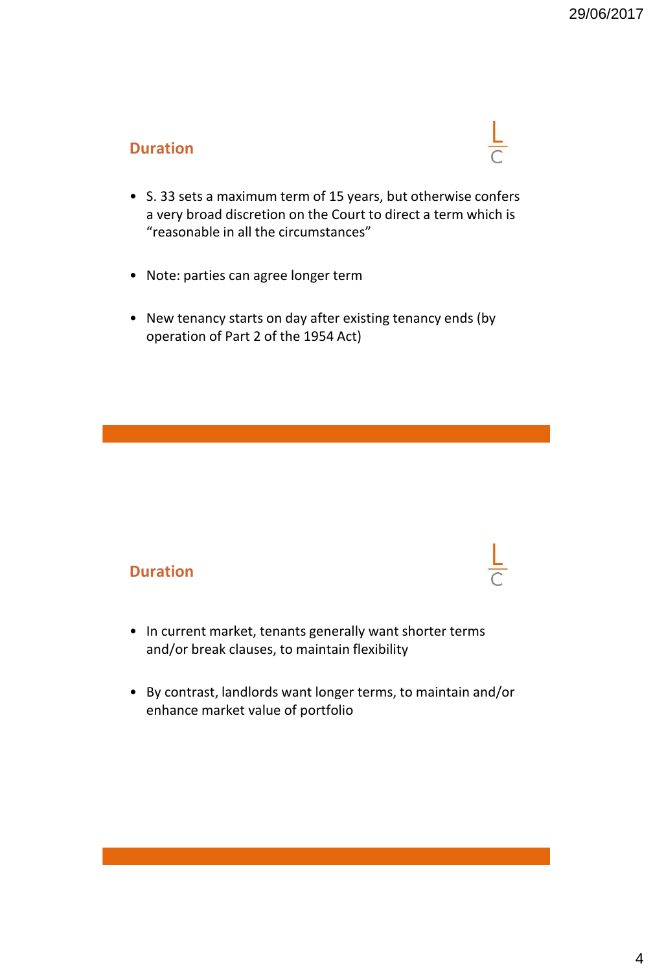# **Duration**

- S. 33 sets a maximum term of 15 years, but otherwise confers a very broad discretion on the Court to direct a term which is "reasonable in all the circumstances"
- Note: parties can agree longer term
- New tenancy starts on day after existing tenancy ends (by operation of Part 2 of the 1954 Act)

#### **Duration**

- In current market, tenants generally want shorter terms and/or break clauses, to maintain flexibility
- By contrast, landlords want longer terms, to maintain and/or enhance market value of portfolio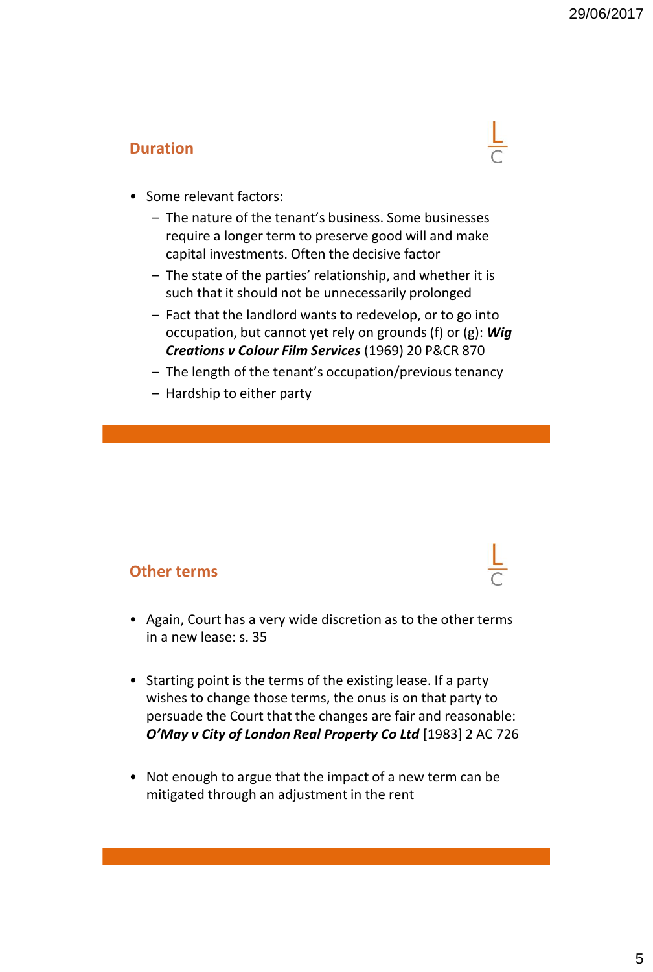# **Duration**



- Some relevant factors:
	- The nature of the tenant's business. Some businesses require a longer term to preserve good will and make capital investments. Often the decisive factor
	- The state of the parties' relationship, and whether it is such that it should not be unnecessarily prolonged
	- Fact that the landlord wants to redevelop, or to go into occupation, but cannot yet rely on grounds (f) or (g): *Wig Creations v Colour Film Services* (1969) 20 P&CR 870
	- The length of the tenant's occupation/previous tenancy
	- Hardship to either party

#### **Other terms**

- Again, Court has a very wide discretion as to the other terms in a new lease: s. 35
- Starting point is the terms of the existing lease. If a party wishes to change those terms, the onus is on that party to persuade the Court that the changes are fair and reasonable: *O'May v City of London Real Property Co Ltd* [1983] 2 AC 726
- Not enough to argue that the impact of a new term can be mitigated through an adjustment in the rent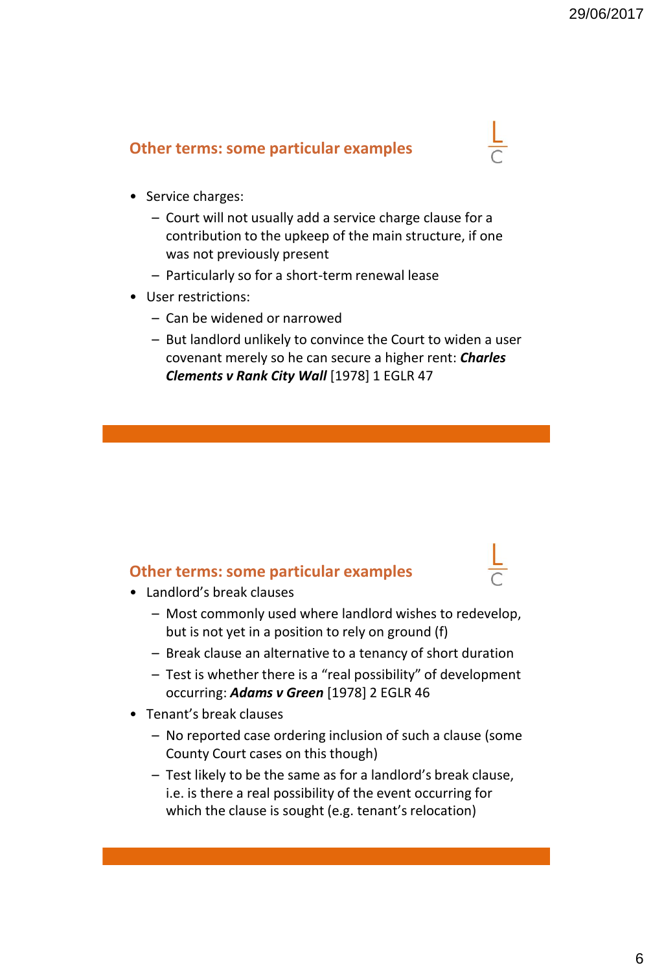#### **Other terms: some particular examples**

- Service charges:
	- Court will not usually add a service charge clause for a contribution to the upkeep of the main structure, if one was not previously present
	- Particularly so for a short-term renewal lease
- User restrictions:
	- Can be widened or narrowed
	- But landlord unlikely to convince the Court to widen a user covenant merely so he can secure a higher rent: *Charles Clements v Rank City Wall* [1978] 1 EGLR 47

#### **Other terms: some particular examples**

- Landlord's break clauses
	- Most commonly used where landlord wishes to redevelop, but is not yet in a position to rely on ground (f)
	- Break clause an alternative to a tenancy of short duration
	- Test is whether there is a "real possibility" of development occurring: *Adams v Green* [1978] 2 EGLR 46
- Tenant's break clauses
	- No reported case ordering inclusion of such a clause (some County Court cases on this though)
	- Test likely to be the same as for a landlord's break clause, i.e. is there a real possibility of the event occurring for which the clause is sought (e.g. tenant's relocation)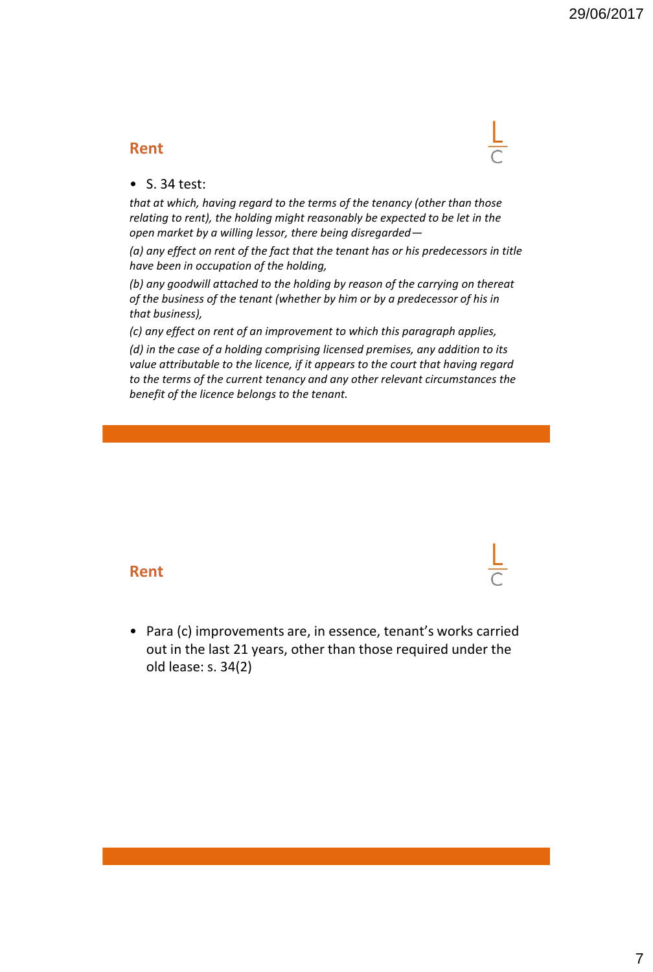#### **Rent**

#### • S. 34 test:

*that at which, having regard to the terms of the tenancy (other than those relating to rent), the holding might reasonably be expected to be let in the open market by a willing lessor, there being disregarded—*

*(a) any effect on rent of the fact that the tenant has or his predecessors in title have been in occupation of the holding,*

*(b) any goodwill attached to the holding by reason of the carrying on thereat of the business of the tenant (whether by him or by a predecessor of his in that business),*

*(c) any effect on rent of an improvement to which this paragraph applies,*

*(d) in the case of a holding comprising licensed premises, any addition to its value attributable to the licence, if it appears to the court that having regard to the terms of the current tenancy and any other relevant circumstances the benefit of the licence belongs to the tenant.*

#### **Rent**

• Para (c) improvements are, in essence, tenant's works carried out in the last 21 years, other than those required under the old lease: s. 34(2)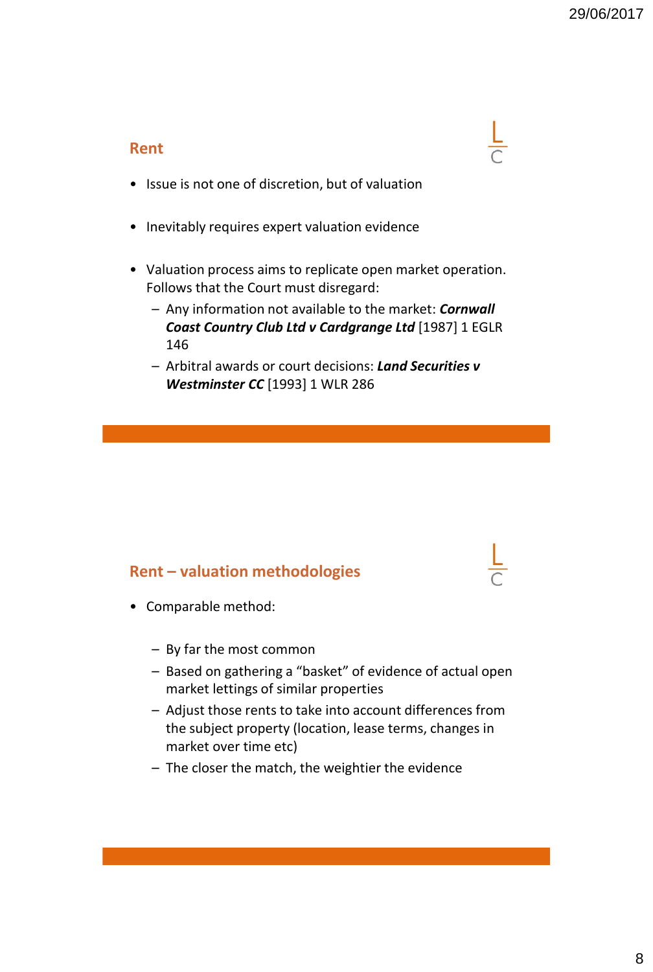#### **Rent**

- Issue is not one of discretion, but of valuation
- Inevitably requires expert valuation evidence
- Valuation process aims to replicate open market operation. Follows that the Court must disregard:
	- Any information not available to the market: *Cornwall Coast Country Club Ltd v Cardgrange Ltd* [1987] 1 EGLR 146
	- Arbitral awards or court decisions: *Land Securities v Westminster CC* [1993] 1 WLR 286

# **Rent – valuation methodologies**

- Comparable method:
	- By far the most common
	- Based on gathering a "basket" of evidence of actual open market lettings of similar properties
	- Adjust those rents to take into account differences from the subject property (location, lease terms, changes in market over time etc)
	- The closer the match, the weightier the evidence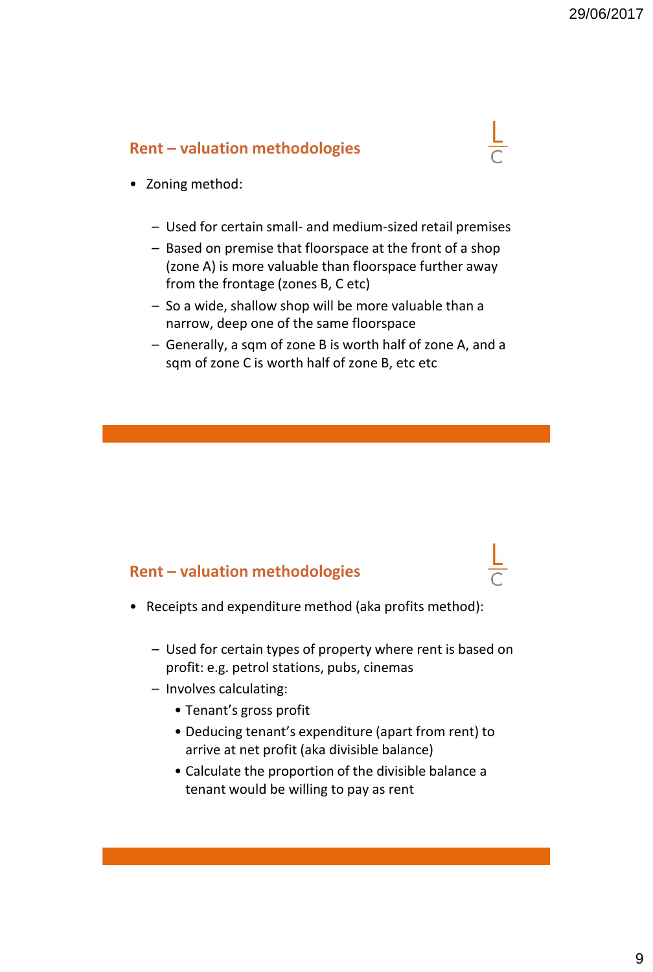#### **Rent – valuation methodologies**

- Zoning method:
	- Used for certain small- and medium-sized retail premises
	- Based on premise that floorspace at the front of a shop (zone A) is more valuable than floorspace further away from the frontage (zones B, C etc)
	- So a wide, shallow shop will be more valuable than a narrow, deep one of the same floorspace
	- Generally, a sqm of zone B is worth half of zone A, and a sqm of zone C is worth half of zone B, etc etc

#### **Rent – valuation methodologies**

- Receipts and expenditure method (aka profits method):
	- Used for certain types of property where rent is based on profit: e.g. petrol stations, pubs, cinemas
	- Involves calculating:
		- Tenant's gross profit
		- Deducing tenant's expenditure (apart from rent) to arrive at net profit (aka divisible balance)
		- Calculate the proportion of the divisible balance a tenant would be willing to pay as rent